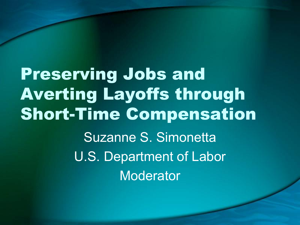Preserving Jobs and Averting Layoffs through Short-Time Compensation Suzanne S. Simonetta U.S. Department of Labor **Moderator**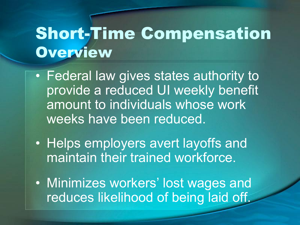#### Short-Time Compensation **Overview**

- Federal law gives states authority to provide a reduced UI weekly benefit amount to individuals whose work weeks have been reduced.
- Helps employers avert layoffs and maintain their trained workforce.
- Minimizes workers' lost wages and reduces likelihood of being laid off.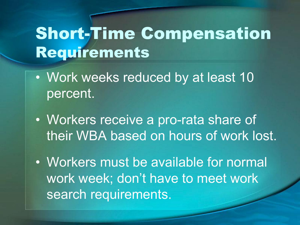#### Short-Time Compensation Requirements

- Work weeks reduced by at least 10 percent.
- Workers receive a pro-rata share of their WBA based on hours of work lost.
- Workers must be available for normal work week; don't have to meet work search requirements.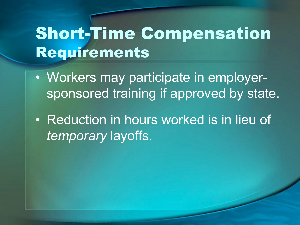### Short-Time Compensation Requirements

• Workers may participate in employersponsored training if approved by state.

• Reduction in hours worked is in lieu of *temporary* layoffs.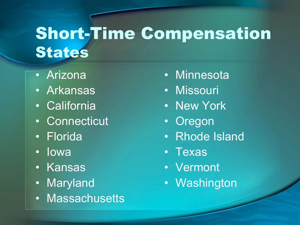## Short-Time Compensation States

- Arizona
- Arkansas
- California
- Connecticut
- Florida
- Iowa
- Kansas
- Maryland
- Massachusetts
- Minnesota
- Missouri
- New York
- Oregon
- Rhode Island
- Texas
- Vermont
- Washington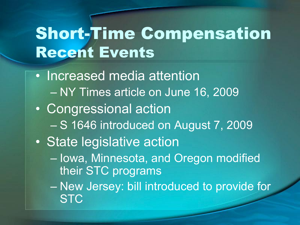## Short-Time Compensation Recent Events

• Increased media attention – NY Times article on June 16, 2009 • Congressional action – S 1646 introduced on August 7, 2009 • State legislative action – Iowa, Minnesota, and Oregon modified their STC programs – New Jersey: bill introduced to provide for **STC**